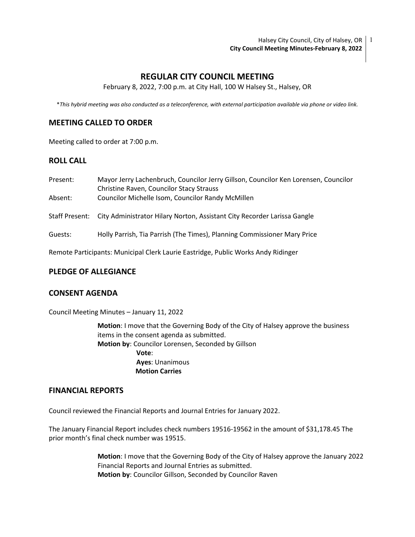Halsey City Council, City of Halsey, OR | 1 **City Council Meeting Minutes-February 8, 2022**

# **REGULAR CITY COUNCIL MEETING**

February 8, 2022, 7:00 p.m. at City Hall, 100 W Halsey St., Halsey, OR

\**This hybrid meeting was also conducted as a teleconference, with external participation available via phone or video link.*

# **MEETING CALLED TO ORDER**

Meeting called to order at 7:00 p.m.

# **ROLL CALL**

| Present:<br>Absent: | Mayor Jerry Lachenbruch, Councilor Jerry Gillson, Councilor Ken Lorensen, Councilor                  |
|---------------------|------------------------------------------------------------------------------------------------------|
|                     | <b>Christine Raven, Councilor Stacy Strauss</b><br>Councilor Michelle Isom, Councilor Randy McMillen |
|                     | Staff Present: City Administrator Hilary Norton, Assistant City Recorder Larissa Gangle              |
| Guests:             | Holly Parrish, Tia Parrish (The Times), Planning Commissioner Mary Price                             |
|                     | Remote Participants: Municipal Clerk Laurie Eastridge, Public Works Andy Ridinger                    |

### **PLEDGE OF ALLEGIANCE**

### **CONSENT AGENDA**

Council Meeting Minutes – January 11, 2022

**Motion**: I move that the Governing Body of the City of Halsey approve the business items in the consent agenda as submitted. **Motion by**: Councilor Lorensen, Seconded by Gillson **Vote**: **Ayes**: Unanimous  **Motion Carries**

### **FINANCIAL REPORTS**

Council reviewed the Financial Reports and Journal Entries for January 2022.

The January Financial Report includes check numbers 19516-19562 in the amount of \$31,178.45 The prior month's final check number was 19515.

> **Motion**: I move that the Governing Body of the City of Halsey approve the January 2022 Financial Reports and Journal Entries as submitted. **Motion by**: Councilor Gillson, Seconded by Councilor Raven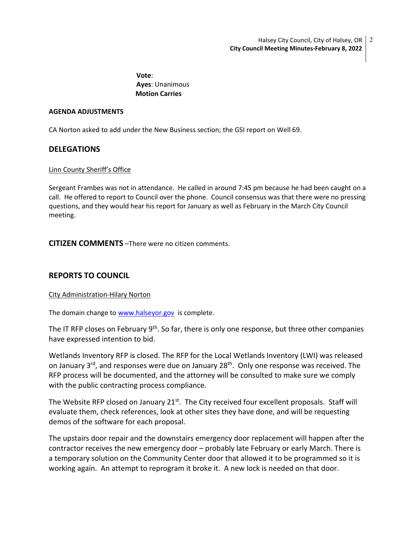**Vote**: **Ayes**: Unanimous  **Motion Carries**

### **AGENDA ADJUSTMENTS**

CA Norton asked to add under the New Business section; the GSI report on Well 69.

# **DELEGATIONS**

### Linn County Sheriff's Office

Sergeant Frambes was not in attendance. He called in around 7:45 pm because he had been caught on a call. He offered to report to Council over the phone. Council consensus was that there were no pressing questions, and they would hear his report for January as well as February in the March City Council meeting.

**CITIZEN COMMENTS** –There were no citizen comments.

# **REPORTS TO COUNCIL**

## City Administration-Hilary Norton

The domain change to [www.halseyor.gov](http://www.halseyor.gov/) is complete.

The IT RFP closes on February  $9<sup>th</sup>$ . So far, there is only one response, but three other companies have expressed intention to bid.

Wetlands Inventory RFP is closed. The RFP for the Local Wetlands Inventory (LWI) was released on January 3<sup>rd</sup>, and responses were due on January 28<sup>th</sup>. Only one response was received. The RFP process will be documented, and the attorney will be consulted to make sure we comply with the public contracting process compliance.

The Website RFP closed on January 21<sup>st</sup>. The City received four excellent proposals. Staff will evaluate them, check references, look at other sites they have done, and will be requesting demos of the software for each proposal.

The upstairs door repair and the downstairs emergency door replacement will happen after the contractor receives the new emergency door – probably late February or early March. There is a temporary solution on the Community Center door that allowed it to be programmed so it is working again. An attempt to reprogram it broke it. A new lock is needed on that door.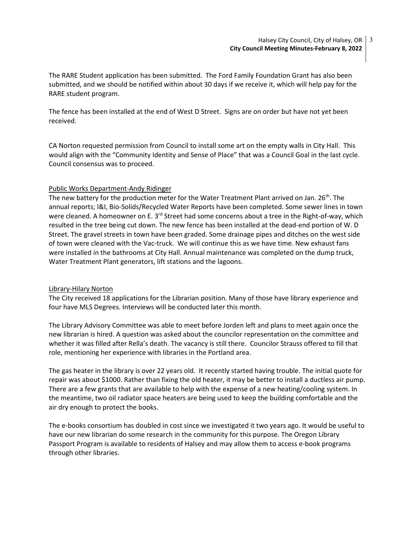The RARE Student application has been submitted. The Ford Family Foundation Grant has also been submitted, and we should be notified within about 30 days if we receive it, which will help pay for the RARE student program.

The fence has been installed at the end of West D Street. Signs are on order but have not yet been received.

CA Norton requested permission from Council to install some art on the empty walls in City Hall. This would align with the "Community Identity and Sense of Place" that was a Council Goal in the last cycle. Council consensus was to proceed.

## Public Works Department-Andy Ridinger

The new battery for the production meter for the Water Treatment Plant arrived on Jan. 26<sup>th</sup>. The annual reports; I&I, Bio-Solids/Recycled Water Reports have been completed. Some sewer lines in town were cleaned. A homeowner on E. 3<sup>rd</sup> Street had some concerns about a tree in the Right-of-way, which resulted in the tree being cut down. The new fence has been installed at the dead-end portion of W. D Street. The gravel streets in town have been graded. Some drainage pipes and ditches on the west side of town were cleaned with the Vac-truck. We will continue this as we have time. New exhaust fans were installed in the bathrooms at City Hall. Annual maintenance was completed on the dump truck, Water Treatment Plant generators, lift stations and the lagoons.

#### Library-Hilary Norton

The City received 18 applications for the Librarian position. Many of those have library experience and four have MLS Degrees. Interviews will be conducted later this month.

The Library Advisory Committee was able to meet before Jorden left and plans to meet again once the new librarian is hired. A question was asked about the councilor representation on the committee and whether it was filled after Rella's death. The vacancy is still there. Councilor Strauss offered to fill that role, mentioning her experience with libraries in the Portland area.

The gas heater in the library is over 22 years old. It recently started having trouble. The initial quote for repair was about \$1000. Rather than fixing the old heater, it may be better to install a ductless air pump. There are a few grants that are available to help with the expense of a new heating/cooling system. In the meantime, two oil radiator space heaters are being used to keep the building comfortable and the air dry enough to protect the books.

The e-books consortium has doubled in cost since we investigated it two years ago. It would be useful to have our new librarian do some research in the community for this purpose. The Oregon Library Passport Program is available to residents of Halsey and may allow them to access e-book programs through other libraries.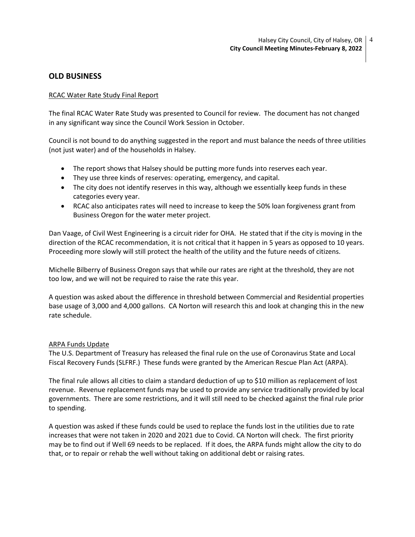# **OLD BUSINESS**

## RCAC Water Rate Study Final Report

The final RCAC Water Rate Study was presented to Council for review. The document has not changed in any significant way since the Council Work Session in October.

Council is not bound to do anything suggested in the report and must balance the needs of three utilities (not just water) and of the households in Halsey.

- The report shows that Halsey should be putting more funds into reserves each year.
- They use three kinds of reserves: operating, emergency, and capital.
- The city does not identify reserves in this way, although we essentially keep funds in these categories every year.
- RCAC also anticipates rates will need to increase to keep the 50% loan forgiveness grant from Business Oregon for the water meter project.

Dan Vaage, of Civil West Engineering is a circuit rider for OHA. He stated that if the city is moving in the direction of the RCAC recommendation, it is not critical that it happen in 5 years as opposed to 10 years. Proceeding more slowly will still protect the health of the utility and the future needs of citizens.

Michelle Bilberry of Business Oregon says that while our rates are right at the threshold, they are not too low, and we will not be required to raise the rate this year.

A question was asked about the difference in threshold between Commercial and Residential properties base usage of 3,000 and 4,000 gallons. CA Norton will research this and look at changing this in the new rate schedule.

#### ARPA Funds Update

The U.S. Department of Treasury has released the final rule on the use of Coronavirus State and Local Fiscal Recovery Funds (SLFRF.) These funds were granted by the American Rescue Plan Act (ARPA).

The final rule allows all cities to claim a standard deduction of up to \$10 million as replacement of lost revenue. Revenue replacement funds may be used to provide any service traditionally provided by local governments. There are some restrictions, and it will still need to be checked against the final rule prior to spending.

A question was asked if these funds could be used to replace the funds lost in the utilities due to rate increases that were not taken in 2020 and 2021 due to Covid. CA Norton will check. The first priority may be to find out if Well 69 needs to be replaced. If it does, the ARPA funds might allow the city to do that, or to repair or rehab the well without taking on additional debt or raising rates.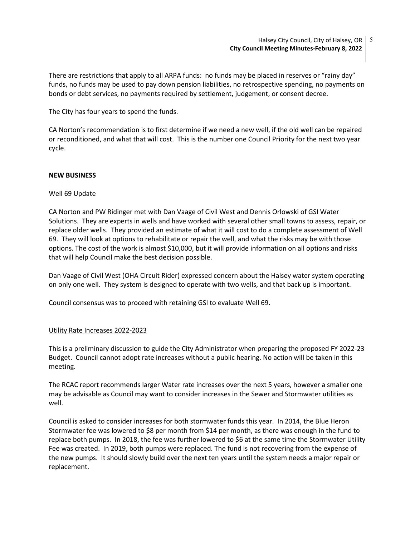There are restrictions that apply to all ARPA funds: no funds may be placed in reserves or "rainy day" funds, no funds may be used to pay down pension liabilities, no retrospective spending, no payments on bonds or debt services, no payments required by settlement, judgement, or consent decree.

The City has four years to spend the funds.

CA Norton's recommendation is to first determine if we need a new well, if the old well can be repaired or reconditioned, and what that will cost. This is the number one Council Priority for the next two year cycle.

## **NEW BUSINESS**

### Well 69 Update

CA Norton and PW Ridinger met with Dan Vaage of Civil West and Dennis Orlowski of GSI Water Solutions. They are experts in wells and have worked with several other small towns to assess, repair, or replace older wells. They provided an estimate of what it will cost to do a complete assessment of Well 69. They will look at options to rehabilitate or repair the well, and what the risks may be with those options. The cost of the work is almost \$10,000, but it will provide information on all options and risks that will help Council make the best decision possible.

Dan Vaage of Civil West (OHA Circuit Rider) expressed concern about the Halsey water system operating on only one well. They system is designed to operate with two wells, and that back up is important.

Council consensus was to proceed with retaining GSI to evaluate Well 69.

#### Utility Rate Increases 2022-2023

This is a preliminary discussion to guide the City Administrator when preparing the proposed FY 2022-23 Budget. Council cannot adopt rate increases without a public hearing. No action will be taken in this meeting.

The RCAC report recommends larger Water rate increases over the next 5 years, however a smaller one may be advisable as Council may want to consider increases in the Sewer and Stormwater utilities as well.

Council is asked to consider increases for both stormwater funds this year. In 2014, the Blue Heron Stormwater fee was lowered to \$8 per month from \$14 per month, as there was enough in the fund to replace both pumps. In 2018, the fee was further lowered to \$6 at the same time the Stormwater Utility Fee was created. In 2019, both pumps were replaced. The fund is not recovering from the expense of the new pumps. It should slowly build over the next ten years until the system needs a major repair or replacement.